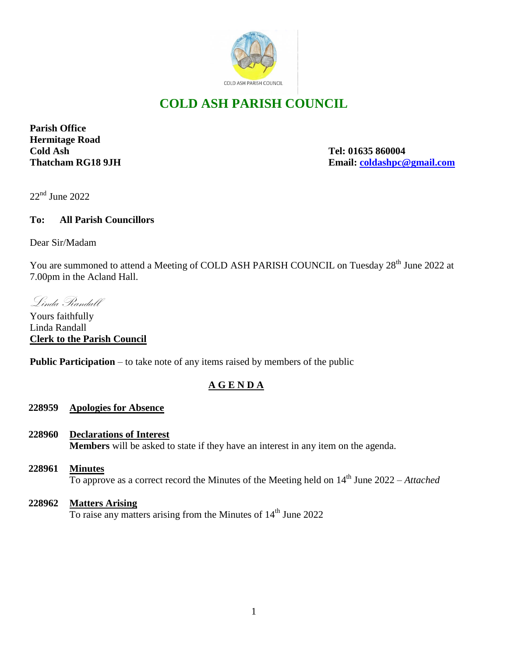

# **COLD ASH PARISH COUNCIL**

**Parish Office Hermitage Road Cold Ash Tel: 01635 860004**

**Thatcham RG18 9JH Email: [coldashpc@gmail.com](mailto:coldashpc@gmail.com)**

22<sup>nd</sup> June 2022

## **To: All Parish Councillors**

Dear Sir/Madam

You are summoned to attend a Meeting of COLD ASH PARISH COUNCIL on Tuesday 28<sup>th</sup> June 2022 at 7.00pm in the Acland Hall.

Linda Randall

Yours faithfully Linda Randall **Clerk to the Parish Council** 

**Public Participation** – to take note of any items raised by members of the public

# **A G E N D A**

### **228959 Apologies for Absence**

- **228960 Declarations of Interest Members** will be asked to state if they have an interest in any item on the agenda.
- **228961 Minutes** To approve as a correct record the Minutes of the Meeting held on 14<sup>th</sup> June 2022 – *Attached*
- **228962 Matters Arising** To raise any matters arising from the Minutes of  $14<sup>th</sup>$  June 2022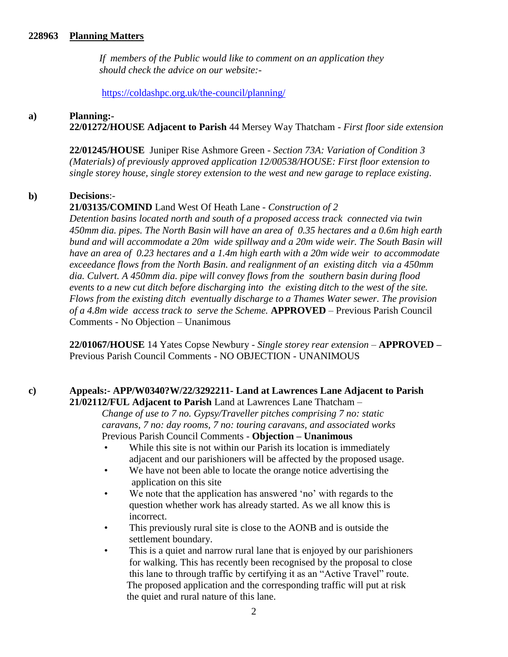#### **228963 Planning Matters**

 *If members of the Public would like to comment on an application they should check the advice on our website:-*

<https://coldashpc.org.uk/the-council/planning/>

#### **a) Planning:-**

**22/01272/HOUSE Adjacent to Parish** 44 Mersey Way Thatcham - *First floor side extension* 

**22/01245/HOUSE** Juniper Rise Ashmore Green - *Section 73A: Variation of Condition 3 (Materials) of previously approved application 12/00538/HOUSE: First floor extension to single storey house, single storey extension to the west and new garage to replace existing*.

#### **b) Decisions**:-

### **21/03135/COMIND** Land West Of Heath Lane - *Construction of 2*

*Detention basins located north and south of a proposed access track connected via twin 450mm dia. pipes. The North Basin will have an area of 0.35 hectares and a 0.6m high earth bund and will accommodate a 20m wide spillway and a 20m wide weir. The South Basin will have an area of 0.23 hectares and a 1.4m high earth with a 20m wide weir to accommodate exceedance flows from the North Basin. and realignment of an existing ditch via a 450mm dia. Culvert. A 450mm dia. pipe will convey flows from the southern basin during flood events to a new cut ditch before discharging into the existing ditch to the west of the site. Flows from the existing ditch eventually discharge to a Thames Water sewer. The provision of a 4.8m wide access track to serve the Scheme.* **APPROVED** *–* Previous Parish Council Comments - No Objection – Unanimous

**22/01067/HOUSE** 14 Yates Copse Newbury - *Single storey rear extension –* **APPROVED –** Previous Parish Council Comments - NO OBJECTION - UNANIMOUS

#### **c) Appeals:- APP/W0340?W/22/3292211- Land at Lawrences Lane Adjacent to Parish 21/02112/FUL Adjacent to Parish** Land at Lawrences Lane Thatcham –

 *Change of use to 7 no. Gypsy/Traveller pitches comprising 7 no: static caravans, 7 no: day rooms, 7 no: touring caravans, and associated works* Previous Parish Council Comments - **Objection – Unanimous**

- While this site is not within our Parish its location is immediately adjacent and our parishioners will be affected by the proposed usage.
- We have not been able to locate the orange notice advertising the application on this site
- We note that the application has answered 'no' with regards to the question whether work has already started. As we all know this is incorrect.
- This previously rural site is close to the AONB and is outside the settlement boundary.
- This is a quiet and narrow rural lane that is enjoyed by our parishioners for walking. This has recently been recognised by the proposal to close this lane to through traffic by certifying it as an "Active Travel" route. The proposed application and the corresponding traffic will put at risk the quiet and rural nature of this lane.